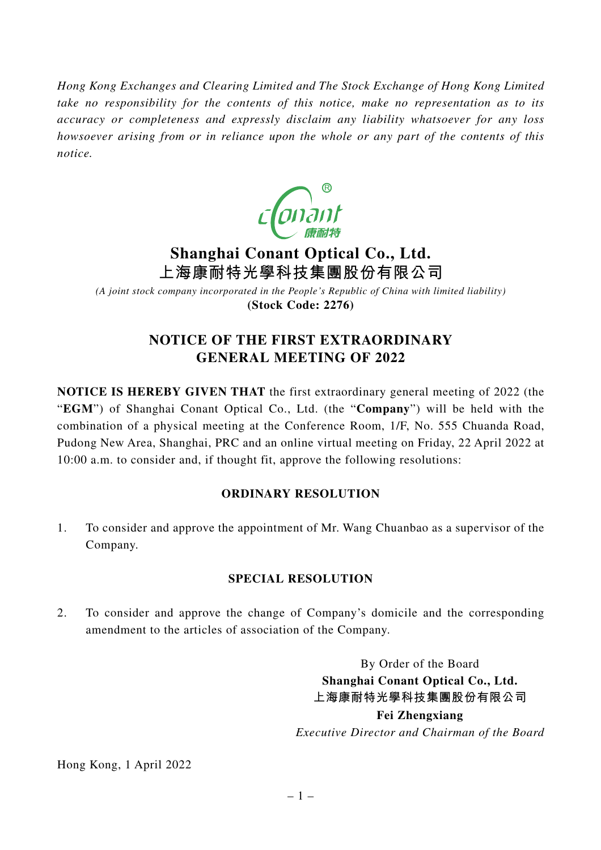*Hong Kong Exchanges and Clearing Limited and The Stock Exchange of Hong Kong Limited take no responsibility for the contents of this notice, make no representation as to its accuracy or completeness and expressly disclaim any liability whatsoever for any loss howsoever arising from or in reliance upon the whole or any part of the contents of this notice.*



# **Shanghai Conant Optical Co., Ltd. 上海康耐特光學科技集團股份有限公司**

*(A joint stock company incorporated in the People's Republic of China with limited liability)* **(Stock Code: 2276)**

## **NOTICE OF THE FIRST EXTRAORDINARY GENERAL MEETING OF 2022**

**NOTICE IS HEREBY GIVEN THAT** the first extraordinary general meeting of 2022 (the "**EGM**") of Shanghai Conant Optical Co., Ltd. (the "**Company**") will be held with the combination of a physical meeting at the Conference Room, 1/F, No. 555 Chuanda Road, Pudong New Area, Shanghai, PRC and an online virtual meeting on Friday, 22 April 2022 at 10:00 a.m. to consider and, if thought fit, approve the following resolutions:

### **ORDINARY RESOLUTION**

1. To consider and approve the appointment of Mr. Wang Chuanbao as a supervisor of the Company.

### **SPECIAL RESOLUTION**

2. To consider and approve the change of Company's domicile and the corresponding amendment to the articles of association of the Company.

> By Order of the Board **Shanghai Conant Optical Co., Ltd. 上海康耐特光學科技集團股份有限公司 Fei Zhengxiang** *Executive Director and Chairman of the Board*

Hong Kong, 1 April 2022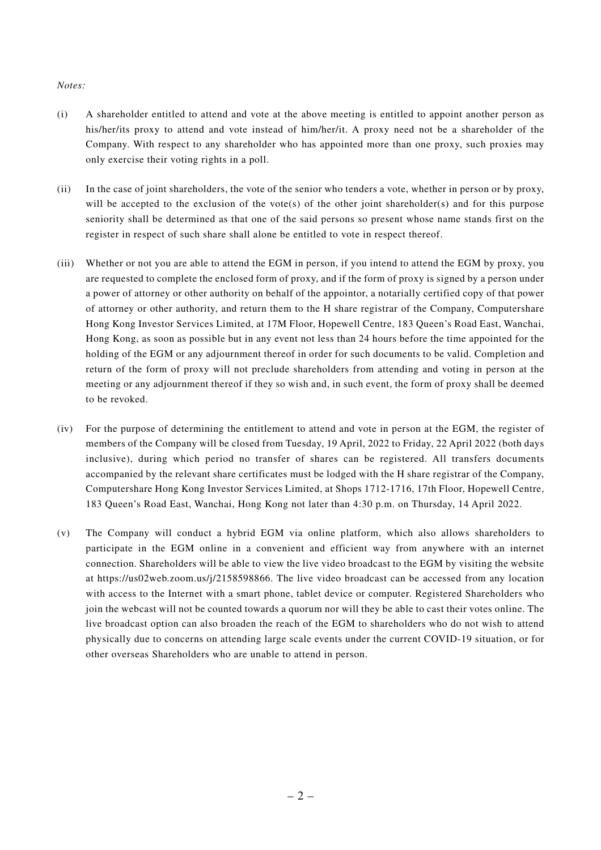#### *Notes:*

- (i) A shareholder entitled to attend and vote at the above meeting is entitled to appoint another person as his/her/its proxy to attend and vote instead of him/her/it. A proxy need not be a shareholder of the Company. With respect to any shareholder who has appointed more than one proxy, such proxies may only exercise their voting rights in a poll.
- (ii) In the case of joint shareholders, the vote of the senior who tenders a vote, whether in person or by proxy, will be accepted to the exclusion of the vote(s) of the other joint shareholder(s) and for this purpose seniority shall be determined as that one of the said persons so present whose name stands first on the register in respect of such share shall alone be entitled to vote in respect thereof.
- (iii) Whether or not you are able to attend the EGM in person, if you intend to attend the EGM by proxy, you are requested to complete the enclosed form of proxy, and if the form of proxy is signed by a person under a power of attorney or other authority on behalf of the appointor, a notarially certified copy of that power of attorney or other authority, and return them to the H share registrar of the Company, Computershare Hong Kong Investor Services Limited, at 17M Floor, Hopewell Centre, 183 Queen's Road East, Wanchai, Hong Kong, as soon as possible but in any event not less than 24 hours before the time appointed for the holding of the EGM or any adjournment thereof in order for such documents to be valid. Completion and return of the form of proxy will not preclude shareholders from attending and voting in person at the meeting or any adjournment thereof if they so wish and, in such event, the form of proxy shall be deemed to be revoked.
- (iv) For the purpose of determining the entitlement to attend and vote in person at the EGM, the register of members of the Company will be closed from Tuesday, 19 April, 2022 to Friday, 22 April 2022 (both days inclusive), during which period no transfer of shares can be registered. All transfers documents accompanied by the relevant share certificates must be lodged with the H share registrar of the Company, Computershare Hong Kong Investor Services Limited, at Shops 1712-1716, 17th Floor, Hopewell Centre, 183 Queen's Road East, Wanchai, Hong Kong not later than 4:30 p.m. on Thursday, 14 April 2022.
- (v) The Company will conduct a hybrid EGM via online platform, which also allows shareholders to participate in the EGM online in a convenient and efficient way from anywhere with an internet connection. Shareholders will be able to view the live video broadcast to the EGM by visiting the website at https://us02web.zoom.us/j/2158598866. The live video broadcast can be accessed from any location with access to the Internet with a smart phone, tablet device or computer. Registered Shareholders who join the webcast will not be counted towards a quorum nor will they be able to cast their votes online. The live broadcast option can also broaden the reach of the EGM to shareholders who do not wish to attend physically due to concerns on attending large scale events under the current COVID-19 situation, or for other overseas Shareholders who are unable to attend in person.